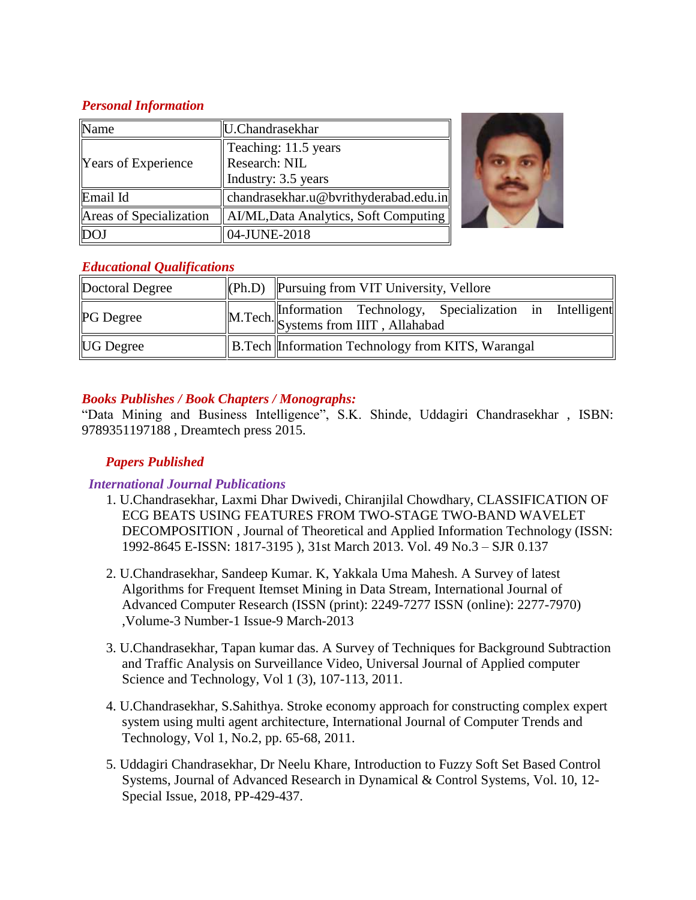## *Personal Information*

| Name                       | U.Chandrasekhar                       |  |
|----------------------------|---------------------------------------|--|
|                            | Teaching: 11.5 years                  |  |
| <b>Years of Experience</b> | Research: NIL                         |  |
|                            | Industry: 3.5 years                   |  |
| Email Id                   | chandrasekhar.u@bvrithyderabad.edu.in |  |
| Areas of Specialization    | AI/ML, Data Analytics, Soft Computing |  |
|                            | 04-JUNE-2018                          |  |

## *Educational Qualifications*

| Doctoral Degree  | $\Vert$ (Ph.D) $\Vert$ Pursuing from VIT University, Vellore                               |  |
|------------------|--------------------------------------------------------------------------------------------|--|
| <b>PG</b> Degree | M.Tech. Information Technology, Specialization in Intelligent Systems from IIIT, Allahabad |  |
| <b>UG</b> Degree | B. Tech Information Technology from KITS, Warangal                                         |  |

## *Books Publishes / Book Chapters / Monographs:*

"Data Mining and Business Intelligence", S.K. Shinde, Uddagiri Chandrasekhar , ISBN: 9789351197188 , Dreamtech press 2015.

# *Papers Published*

# *International Journal Publications*

- 1. U.Chandrasekhar, Laxmi Dhar Dwivedi, Chiranjilal Chowdhary, CLASSIFICATION OF ECG BEATS USING FEATURES FROM TWO-STAGE TWO-BAND WAVELET DECOMPOSITION , Journal of Theoretical and Applied Information Technology (ISSN: 1992-8645 E-ISSN: 1817-3195 ), 31st March 2013. Vol. 49 No.3 – SJR 0.137
- 2. U.Chandrasekhar, Sandeep Kumar. K, Yakkala Uma Mahesh. A Survey of latest Algorithms for Frequent Itemset Mining in Data Stream, International Journal of Advanced Computer Research (ISSN (print): 2249-7277 ISSN (online): 2277-7970) ,Volume-3 Number-1 Issue-9 March-2013
- 3. U.Chandrasekhar, Tapan kumar das. A Survey of Techniques for Background Subtraction and Traffic Analysis on Surveillance Video, Universal Journal of Applied computer Science and Technology, Vol 1 (3), 107-113, 2011.
- 4. U.Chandrasekhar, S.Sahithya. Stroke economy approach for constructing complex expert system using multi agent architecture, International Journal of Computer Trends and Technology, Vol 1, No.2, pp. 65-68, 2011.
- 5. Uddagiri Chandrasekhar, Dr Neelu Khare, Introduction to Fuzzy Soft Set Based Control Systems, Journal of Advanced Research in Dynamical & Control Systems, Vol. 10, 12- Special Issue, 2018, PP-429-437.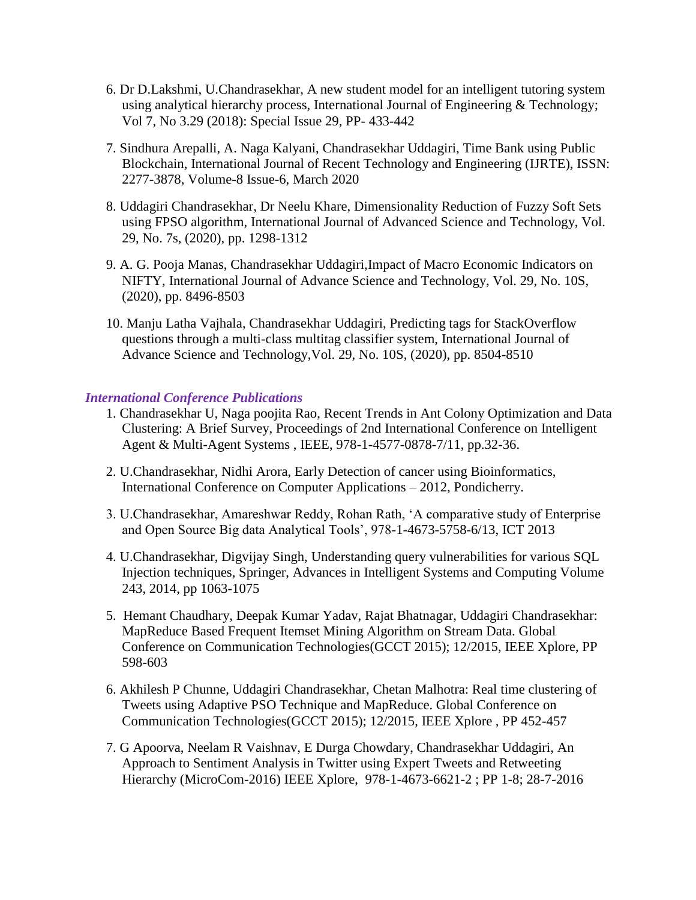- 6. Dr D.Lakshmi, U.Chandrasekhar, A new student model for an intelligent tutoring system using analytical hierarchy process, International Journal of Engineering & Technology; Vol 7, No 3.29 (2018): Special Issue 29, PP- 433-442
- 7. Sindhura Arepalli, A. Naga Kalyani, Chandrasekhar Uddagiri, Time Bank using Public Blockchain, International Journal of Recent Technology and Engineering (IJRTE), ISSN: 2277-3878, Volume-8 Issue-6, March 2020
- 8. Uddagiri Chandrasekhar, Dr Neelu Khare, Dimensionality Reduction of Fuzzy Soft Sets using FPSO algorithm, International Journal of Advanced Science and Technology, Vol. 29, No. 7s, (2020), pp. 1298-1312
- 9. A. G. Pooja Manas, Chandrasekhar Uddagiri,Impact of Macro Economic Indicators on NIFTY, International Journal of Advance Science and Technology, Vol. 29, No. 10S, (2020), pp. 8496-8503
- 10. Manju Latha Vajhala, Chandrasekhar Uddagiri, Predicting tags for StackOverflow questions through a multi-class multitag classifier system, International Journal of Advance Science and Technology,Vol. 29, No. 10S, (2020), pp. 8504-8510

#### *International Conference Publications*

- 1. Chandrasekhar U, Naga poojita Rao, Recent Trends in Ant Colony Optimization and Data Clustering: A Brief Survey, Proceedings of 2nd International Conference on Intelligent Agent & Multi-Agent Systems , IEEE, 978-1-4577-0878-7/11, pp.32-36.
- 2. U.Chandrasekhar, Nidhi Arora, Early Detection of cancer using Bioinformatics, International Conference on Computer Applications – 2012, Pondicherry.
- 3. U.Chandrasekhar, Amareshwar Reddy, Rohan Rath, 'A comparative study of Enterprise and Open Source Big data Analytical Tools', 978-1-4673-5758-6/13, ICT 2013
- 4. U.Chandrasekhar, Digvijay Singh, Understanding query vulnerabilities for various SQL Injection techniques, Springer, Advances in Intelligent Systems and Computing Volume 243, 2014, pp 1063-1075
- 5. Hemant Chaudhary, Deepak Kumar Yadav, Rajat Bhatnagar, Uddagiri Chandrasekhar: MapReduce Based Frequent Itemset Mining Algorithm on Stream Data. Global Conference on Communication Technologies(GCCT 2015); 12/2015, IEEE Xplore, PP 598-603
- 6. Akhilesh P Chunne, Uddagiri Chandrasekhar, Chetan Malhotra: Real time clustering of Tweets using Adaptive PSO Technique and MapReduce. Global Conference on Communication Technologies(GCCT 2015); 12/2015, IEEE Xplore , PP 452-457
- 7. G Apoorva, Neelam R Vaishnav, E Durga Chowdary, Chandrasekhar Uddagiri, An Approach to Sentiment Analysis in Twitter using Expert Tweets and Retweeting Hierarchy (MicroCom-2016) IEEE Xplore, 978-1-4673-6621-2 ; PP 1-8; 28-7-2016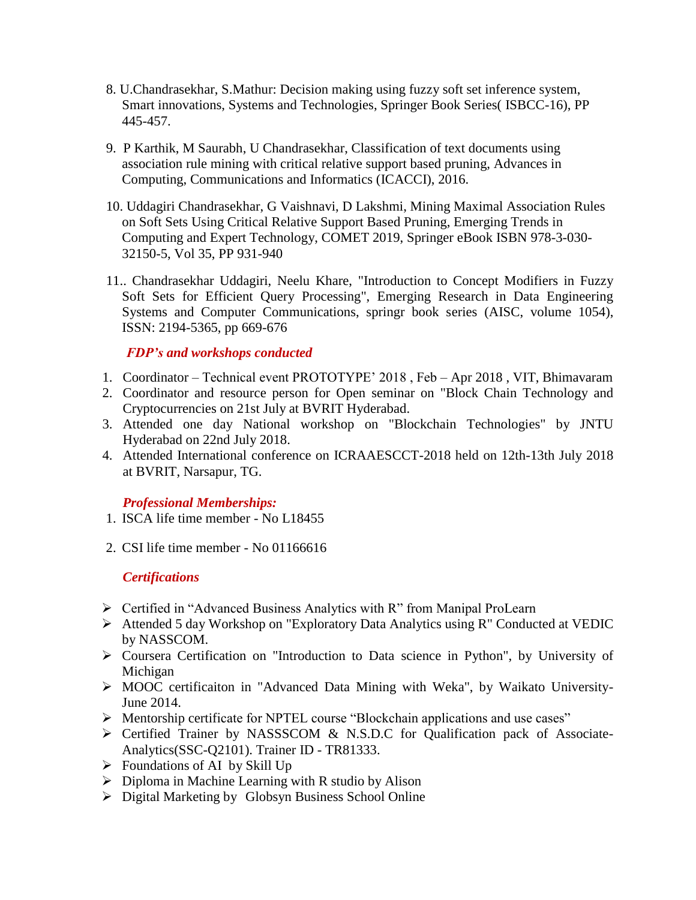- 8. U.Chandrasekhar, S.Mathur: Decision making using fuzzy soft set inference system, Smart innovations, Systems and Technologies, Springer Book Series( ISBCC-16), PP 445-457.
- 9. P Karthik, M Saurabh, U Chandrasekhar, Classification of text documents using association rule mining with critical relative support based pruning, Advances in Computing, Communications and Informatics (ICACCI), 2016.
- 10. Uddagiri Chandrasekhar, G Vaishnavi, D Lakshmi, Mining Maximal Association Rules on Soft Sets Using Critical Relative Support Based Pruning, Emerging Trends in Computing and Expert Technology, COMET 2019, Springer eBook ISBN 978-3-030- 32150-5, Vol 35, PP 931-940
- 11.. Chandrasekhar Uddagiri, Neelu Khare, "Introduction to Concept Modifiers in Fuzzy Soft Sets for Efficient Query Processing", Emerging Research in Data Engineering Systems and Computer Communications, springr book series (AISC, volume 1054), ISSN: 2194-5365, pp 669-676

## *FDP's and workshops conducted*

- 1. Coordinator Technical event PROTOTYPE' 2018 , Feb Apr 2018 , VIT, Bhimavaram
- 2. Coordinator and resource person for Open seminar on "Block Chain Technology and Cryptocurrencies on 21st July at BVRIT Hyderabad.
- 3. Attended one day National workshop on "Blockchain Technologies" by JNTU Hyderabad on 22nd July 2018.
- 4. Attended International conference on ICRAAESCCT-2018 held on 12th-13th July 2018 at BVRIT, Narsapur, TG.

## *Professional Memberships:*

- 1. ISCA life time member No L18455
- 2. CSI life time member No 01166616

## *Certifications*

- Certified in "Advanced Business Analytics with R" from Manipal ProLearn
- Attended 5 day Workshop on "Exploratory Data Analytics using R" Conducted at VEDIC by NASSCOM.
- Coursera Certification on "Introduction to Data science in Python", by University of Michigan
- MOOC certificaiton in "Advanced Data Mining with Weka", by Waikato University-June 2014.
- Mentorship certificate for NPTEL course "Blockchain applications and use cases"
- Certified Trainer by NASSSCOM & N.S.D.C for Qualification pack of Associate-Analytics(SSC-Q2101). Trainer ID - TR81333.
- $\triangleright$  Foundations of AI by Skill Up
- $\triangleright$  Diploma in Machine Learning with R studio by Alison
- Digital Marketing by Globsyn Business School Online